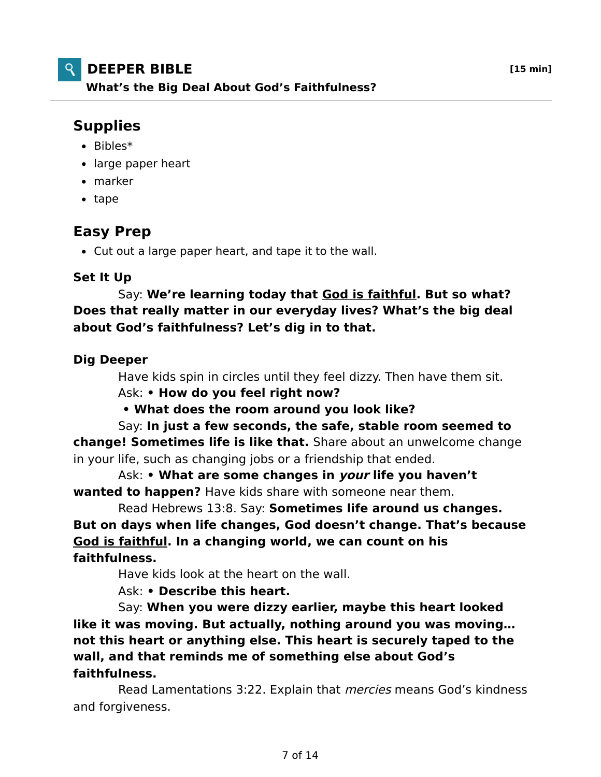## **DEEPER BIBLE [15 min]**

**What's the Big Deal About God's Faithfulness?**

# **Supplies**

- $\bullet$  Bibles\*
- large paper heart
- marker
- tape

### **Easy Prep**

Cut out a large paper heart, and tape it to the wall.

### **Set It Up**

 Say: **We're learning today that God is faithful. But so what? Does that really matter in our everyday lives? What's the big deal about God's faithfulness? Let's dig in to that.**

### **Dig Deeper**

 Have kids spin in circles until they feel dizzy. Then have them sit. Ask: **• How do you feel right now?**

 **• What does the room around you look like?**

 Say: **In just a few seconds, the safe, stable room seemed to change! Sometimes life is like that.** Share about an unwelcome change in your life, such as changing jobs or a friendship that ended.

 Ask: **• What are some changes in your life you haven't wanted to happen?** Have kids share with someone near them.

 Read Hebrews 13:8. Say: **Sometimes life around us changes. But on days when life changes, God doesn't change. That's because God is faithful. In a changing world, we can count on his faithfulness.**

Have kids look at the heart on the wall.

Ask: **• Describe this heart.**

 Say: **When you were dizzy earlier, maybe this heart looked like it was moving. But actually, nothing around you was moving… not this heart or anything else. This heart is securely taped to the wall, and that reminds me of something else about God's faithfulness.**

Read Lamentations 3:22. Explain that *mercies* means God's kindness and forgiveness.